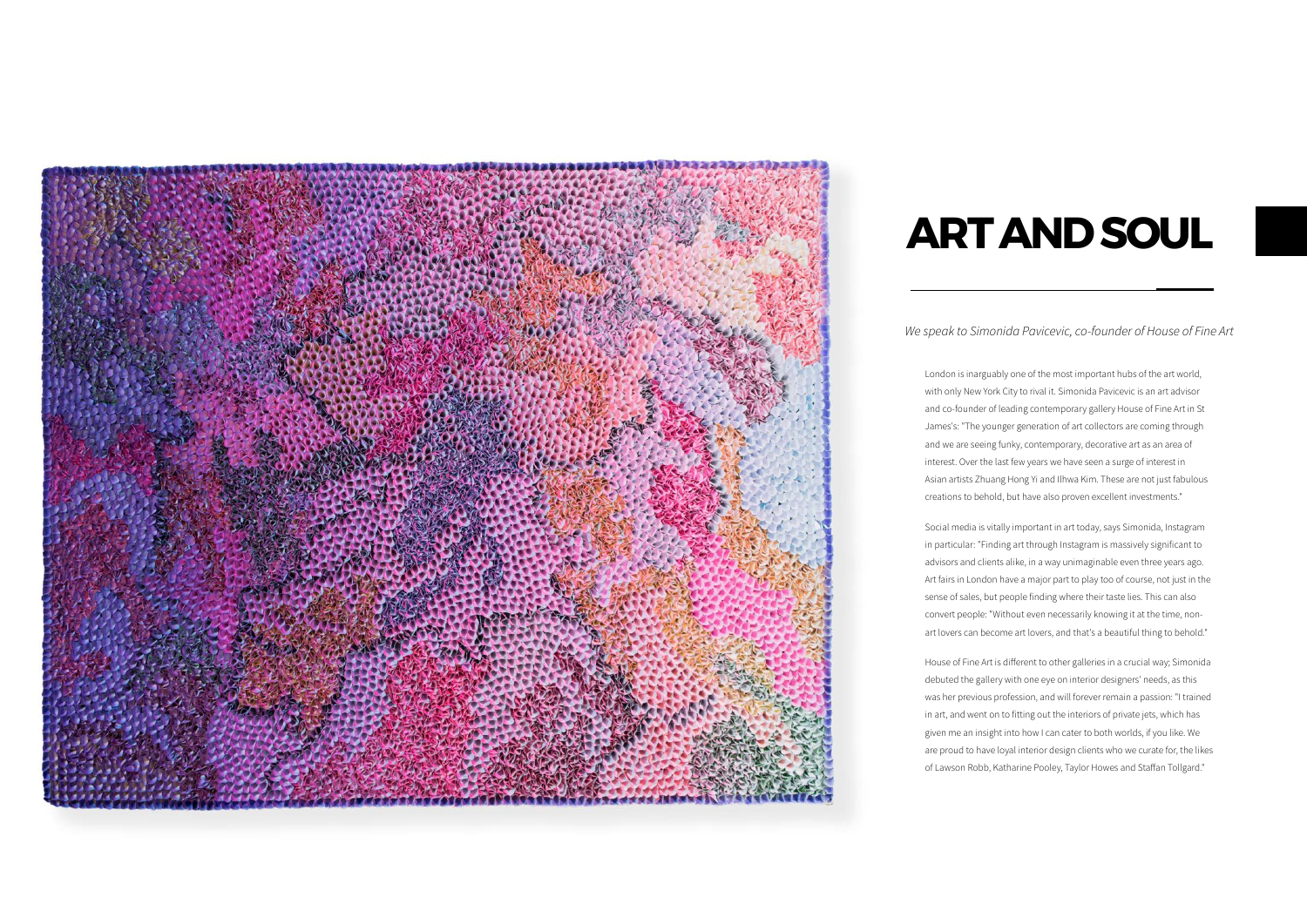## **Art And Soul**

## *We speak to Simonida Pavicevic, co-founder of House of Fine Art*

London is inarguably one of the most important hubs of the art world, with only New York City to rival it. Simonida Pavicevic is an art advisor and co-founder of leading contemporary gallery House of Fine Art in St James's: "The younger generation of art collectors are coming through and we are seeing funky, contemporary, decorative art as an area of interest. Over the last few years we have seen a surge of interest in Asian artists Zhuang Hong Yi and Ilhwa Kim. These are not just fabulous creations to behold, but have also proven excellent investments."

Social media is vitally important in art today, says Simonida, Instagram in particular: "Finding art through Instagram is massively significant to advisors and clients alike, in a way unimaginable even three years ago. Art fairs in London have a major part to play too of course, not just in the sense of sales, but people finding where their taste lies. This can also convert people: "Without even necessarily knowing it at the time, nonart lovers can become art lovers, and that's a beautiful thing to behold."



House of Fine Art is different to other galleries in a crucial way; Simonida debuted the gallery with one eye on interior designers' needs, as this was her previous profession, and will forever remain a passion: "I trained in art, and went on to fitting out the interiors of private jets, which has given me an insight into how I can cater to both worlds, if you like. We are proud to have loyal interior design clients who we curate for, the likes of Lawson Robb, Katharine Pooley, Taylor Howes and Staffan Tollgard."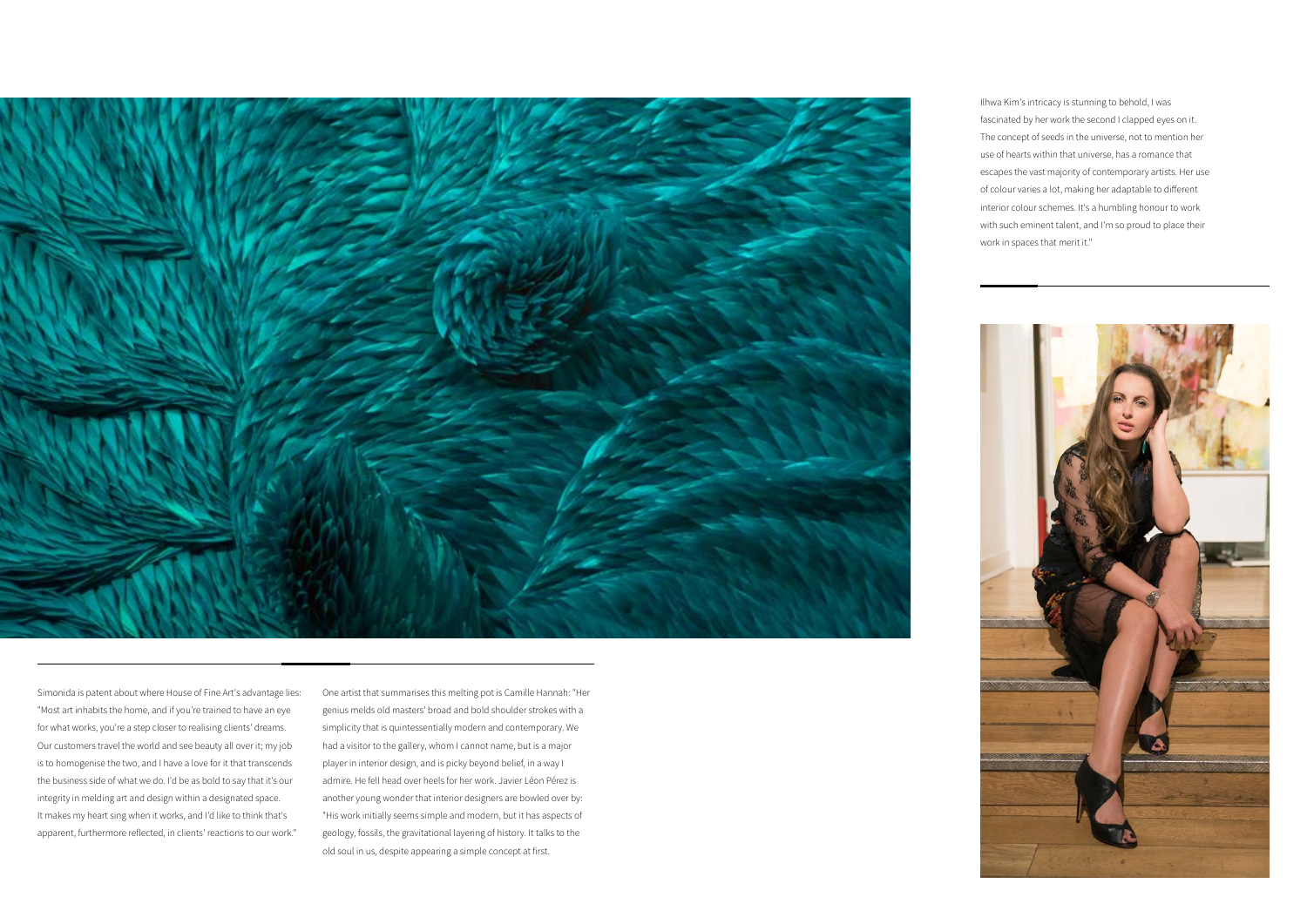

Simonida is patent about where House of Fine Art's advantage lies: "Most art inhabits the home, and if you're trained to have an eye for what works, you're a step closer to realising clients' dreams. Our customers travel the world and see beauty all over it; my job is to homogenise the two, and I have a love for it that transcends the business side of what we do. I'd be as bold to say that it's our integrity in melding art and design within a designated space. It makes my heart sing when it works, and I'd like to think that's apparent, furthermore reflected, in clients' reactions to our work."

One artist that summarises this melting pot is Camille Hannah: "Her genius melds old masters' broad and bold shoulder strokes with a simplicity that is quintessentially modern and contemporary. We had a visitor to the gallery, whom I cannot name, but is a major player in interior design, and is picky beyond belief, in a way I admire. He fell head over heels for her work. Javier Léon Pérez is another young wonder that interior designers are bowled over by: "His work initially seems simple and modern, but it has aspects of geology, fossils, the gravitational layering of history. It talks to the old soul in us, despite appearing a simple concept at first.

Ilhwa Kim's intricacy is stunning to behold, I was fascinated by her work the second I clapped eyes on it. The concept of seeds in the universe, not to mention her use of hearts within that universe, has a romance that escapes the vast majority of contemporary artists. Her use of colour varies a lot, making her adaptable to different interior colour schemes. It's a humbling honour to work with such eminent talent, and I'm so proud to place their work in spaces that merit it."